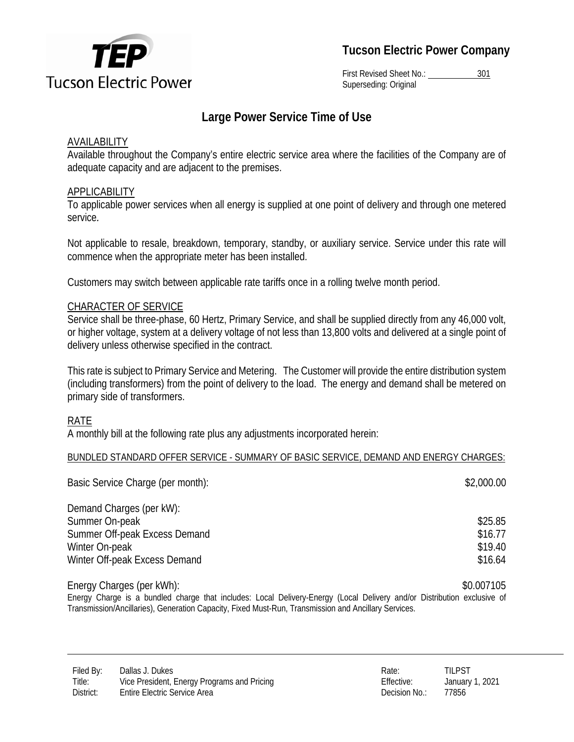

**Tucson Electric Power Company** 

First Revised Sheet No.: 301 Superseding: Original

# **Large Power Service Time of Use**

### AVAILABILITY

Available throughout the Company's entire electric service area where the facilities of the Company are of adequate capacity and are adjacent to the premises.

## **APPLICABILITY**

To applicable power services when all energy is supplied at one point of delivery and through one metered service*.* 

Not applicable to resale, breakdown, temporary, standby, or auxiliary service. Service under this rate will commence when the appropriate meter has been installed.

Customers may switch between applicable rate tariffs once in a rolling twelve month period.

### CHARACTER OF SERVICE

Service shall be three-phase, 60 Hertz, Primary Service, and shall be supplied directly from any 46,000 volt, or higher voltage, system at a delivery voltage of not less than 13,800 volts and delivered at a single point of delivery unless otherwise specified in the contract.

This rate is subject to Primary Service and Metering. The Customer will provide the entire distribution system (including transformers) from the point of delivery to the load. The energy and demand shall be metered on primary side of transformers.

### RATE

A monthly bill at the following rate plus any adjustments incorporated herein:

#### BUNDLED STANDARD OFFER SERVICE - SUMMARY OF BASIC SERVICE, DEMAND AND ENERGY CHARGES:

| Basic Service Charge (per month): | \$2,000.00        |
|-----------------------------------|-------------------|
| Demand Charges (per kW):          |                   |
| Summer On-peak                    | \$25.85           |
| Summer Off-peak Excess Demand     | \$16.77           |
| Winter On-peak                    | \$19.40           |
| Winter Off-peak Excess Demand     | \$16.64           |
| $Fnarnv$ Charnes (nor $kM/h$ ).   | <b>ጳስ ሰሰ71ሰ</b> ፍ |

Energy Charges (per kWh): \$0.007105 Energy Charge is a bundled charge that includes: Local Delivery-Energy (Local Delivery and/or Distribution exclusive of Transmission/Ancillaries), Generation Capacity, Fixed Must-Run, Transmission and Ancillary Services.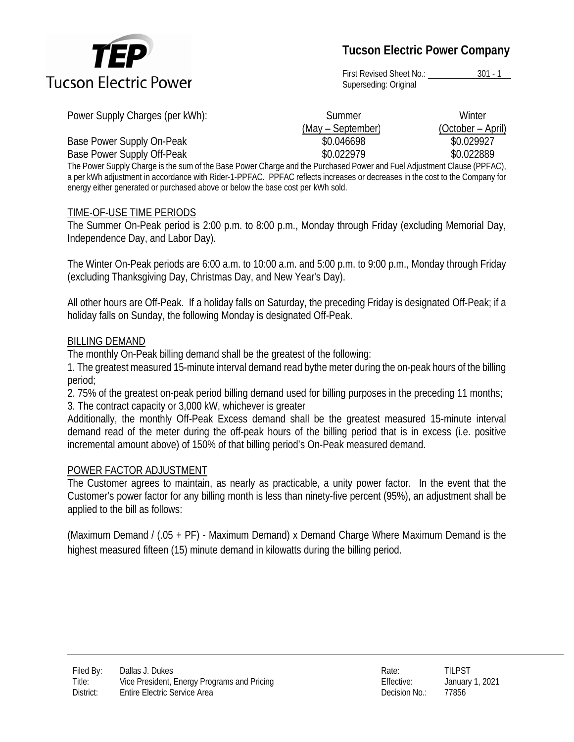

**Tucson Electric Power Company** 

First Revised Sheet No.: 301 - 1 Superseding: Original

| Power Supply Charges (per kWh): | Summer            | Winter            |
|---------------------------------|-------------------|-------------------|
|                                 | (May – September) | (October – April) |
| Base Power Supply On-Peak       | \$0.046698        | \$0.029927        |
| Base Power Supply Off-Peak      | \$0.022979        | \$0.022889        |

The Power Supply Charge is the sum of the Base Power Charge and the Purchased Power and Fuel Adjustment Clause (PPFAC), a per kWh adjustment in accordance with Rider-1-PPFAC. PPFAC reflects increases or decreases in the cost to the Company for energy either generated or purchased above or below the base cost per kWh sold.

### TIME-OF-USE TIME PERIODS

The Summer On-Peak period is 2:00 p.m. to 8:00 p.m., Monday through Friday (excluding Memorial Day, Independence Day, and Labor Day).

The Winter On-Peak periods are 6:00 a.m. to 10:00 a.m. and 5:00 p.m. to 9:00 p.m., Monday through Friday (excluding Thanksgiving Day, Christmas Day, and New Year's Day).

All other hours are Off-Peak. If a holiday falls on Saturday, the preceding Friday is designated Off-Peak; if a holiday falls on Sunday, the following Monday is designated Off-Peak.

### BILLING DEMAND

The monthly On-Peak billing demand shall be the greatest of the following:

1. 1. The greatest measured 15-minute interval demand read bythe meter during the on-peak hours of the billing period;

2. 2. 75% of the greatest on-peak period billing demand used for billing purposes in the preceding 11 months; 3. 3. The contract capacity or 3,000 kW, whichever is greater

Additionally, the monthly Off-Peak Excess demand shall be the greatest measured 15-minute interval demand read of the meter during the off-peak hours of the billing period that is in excess (i.e. positive incremental amount above) of 150% of that billing period's On-Peak measured demand.

### POWER FACTOR ADJUSTMENT

The Customer agrees to maintain, as nearly as practicable, a unity power factor. In the event that the Customer's power factor for any billing month is less than ninety-five percent (95%), an adjustment shall be applied to the bill as follows:

(Maximum Demand / (.05 + PF) - Maximum Demand) x Demand Charge Where Maximum Demand is the highest measured fifteen (15) minute demand in kilowatts during the billing period.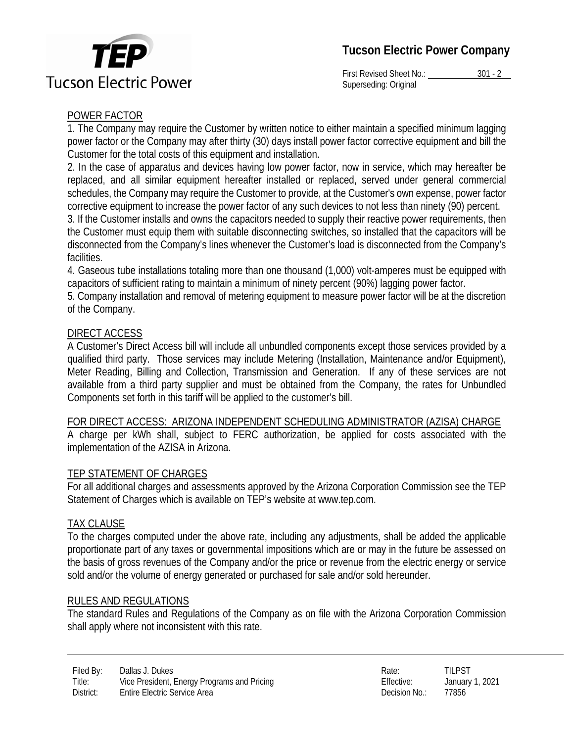



First Revised Sheet No.: 301 - 2 Superseding: Original

# POWER FACTOR

1. The Company may require the Customer by written notice to either maintain a specified minimum lagging power factor or the Company may after thirty (30) days install power factor corrective equipment and bill the Customer for the total costs of this equipment and installation.

1. 2. In the case of apparatus and devices having low power factor, now in service, which may hereafter be replaced, and all similar equipment hereafter installed or replaced, served under general commercial schedules, the Company may require the Customer to provide, at the Customer's own expense, power factor corrective equipment to increase the power factor of any such devices to not less than ninety (90) percent.

2. 3. If the Customer installs and owns the capacitors needed to supply their reactive power requirements, then the Customer must equip them with suitable disconnecting switches, so installed that the capacitors will be disconnected from the Company's lines whenever the Customer's load is disconnected from the Company's facilities.

3. 4. Gaseous tube installations totaling more than one thousand (1,000) volt-amperes must be equipped with capacitors of sufficient rating to maintain a minimum of ninety percent (90%) lagging power factor.

4. 5. Company installation and removal of metering equipment to measure power factor will be at the discretion of the Company.

## DIRECT ACCESS

A Customer's Direct Access bill will include all unbundled components except those services provided by a qualified third party. Those services may include Metering (Installation, Maintenance and/or Equipment), Meter Reading, Billing and Collection, Transmission and Generation. If any of these services are not available from a third party supplier and must be obtained from the Company, the rates for Unbundled Components set forth in this tariff will be applied to the customer's bill.

### FOR DIRECT ACCESS: ARIZONA INDEPENDENT SCHEDULING ADMINISTRATOR (AZISA) CHARGE

A charge per kWh shall, subject to FERC authorization, be applied for costs associated with the implementation of the AZISA in Arizona.

### TEP STATEMENT OF CHARGES

For all additional charges and assessments approved by the Arizona Corporation Commission see the TEP Statement of Charges which is available on TEP's website at www.tep.com.

### TAX CLAUSE

To the charges computed under the above rate, including any adjustments, shall be added the applicable proportionate part of any taxes or governmental impositions which are or may in the future be assessed on the basis of gross revenues of the Company and/or the price or revenue from the electric energy or service sold and/or the volume of energy generated or purchased for sale and/or sold hereunder.

### RULES AND REGULATIONS

The standard Rules and Regulations of the Company as on file with the Arizona Corporation Commission shall apply where not inconsistent with this rate.